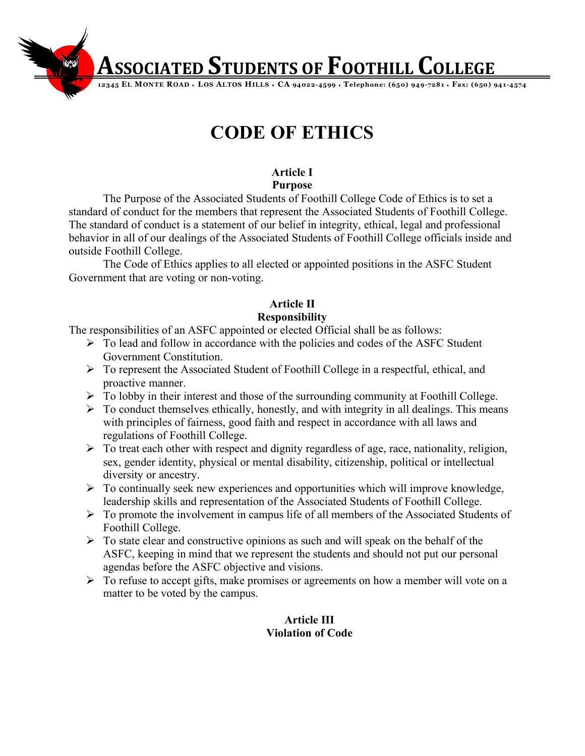**Associated Students of Foothill College** 

**12345 EL MONTE ROAD** ♦ **LOS ALTOS HILLS** ♦ **CA 94022-4599** ♦ **Telephone: (650) 949-7281** ♦ **Fax: (650) 941-4574**

## **CODE OF ETHICS**

#### **Article I Purpose**

The Purpose of the Associated Students of Foothill College Code of Ethics is to set a standard of conduct for the members that represent the Associated Students of Foothill College. The standard of conduct is a statement of our belief in integrity, ethical, legal and professional behavior in all of our dealings of the Associated Students of Foothill College officials inside and outside Foothill College.

The Code of Ethics applies to all elected or appointed positions in the ASFC Student Government that are voting or non-voting.

### **Article II Responsibility**

The responsibilities of an ASFC appointed or elected Official shall be as follows:

- $\triangleright$  To lead and follow in accordance with the policies and codes of the ASFC Student Government Constitution.
- To represent the Associated Student of Foothill College in a respectful, ethical, and proactive manner.
- $\triangleright$  To lobby in their interest and those of the surrounding community at Foothill College.
- $\triangleright$  To conduct themselves ethically, honestly, and with integrity in all dealings. This means with principles of fairness, good faith and respect in accordance with all laws and regulations of Foothill College.
- $\triangleright$  To treat each other with respect and dignity regardless of age, race, nationality, religion, sex, gender identity, physical or mental disability, citizenship, political or intellectual diversity or ancestry.
- $\triangleright$  To continually seek new experiences and opportunities which will improve knowledge, leadership skills and representation of the Associated Students of Foothill College.
- $\triangleright$  To promote the involvement in campus life of all members of the Associated Students of Foothill College.
- $\triangleright$  To state clear and constructive opinions as such and will speak on the behalf of the ASFC, keeping in mind that we represent the students and should not put our personal agendas before the ASFC objective and visions.
- $\triangleright$  To refuse to accept gifts, make promises or agreements on how a member will vote on a matter to be voted by the campus.

#### **Article III Violation of Code**